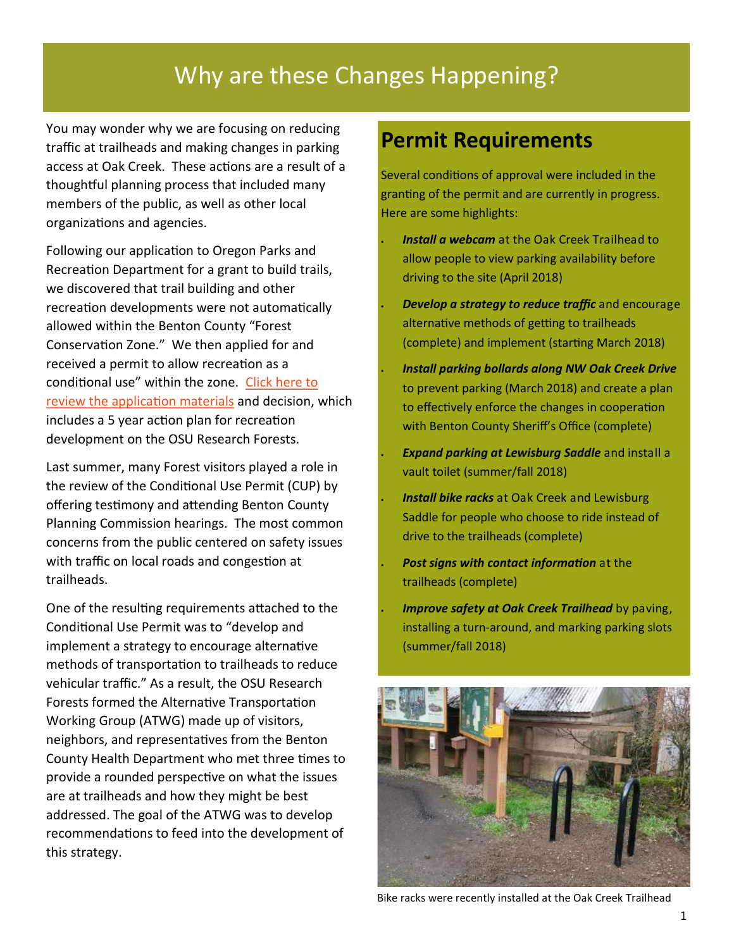# Why are these Changes Happening?

You may wonder why we are focusing on reducing traffic at trailheads and making changes in parking access at Oak Creek. These actions are a result of a thoughtful planning process that included many members of the public, as well as other local organizations and agencies.

Following our application to Oregon Parks and Recreation Department for a grant to build trails, we discovered that trail building and other recreation developments were not automatically allowed within the Benton County "Forest Conservation Zone." We then applied for and received a permit to allow recreation as a conditional use" within the zone. [Click here to](http://cf.forestry.oregonstate.edu/recreation-planning)  [review the application materials](http://cf.forestry.oregonstate.edu/recreation-planning) and decision, which includes a 5 year action plan for recreation development on the OSU Research Forests.

Last summer, many Forest visitors played a role in the review of the Conditional Use Permit (CUP) by offering testimony and attending Benton County Planning Commission hearings. The most common concerns from the public centered on safety issues with traffic on local roads and congestion at trailheads.

One of the resulting requirements attached to the Conditional Use Permit was to "develop and implement a strategy to encourage alternative methods of transportation to trailheads to reduce vehicular traffic." As a result, the OSU Research Forests formed the Alternative Transportation Working Group (ATWG) made up of visitors, neighbors, and representatives from the Benton County Health Department who met three times to provide a rounded perspective on what the issues are at trailheads and how they might be best addressed. The goal of the ATWG was to develop recommendations to feed into the development of this strategy.

### **Permit Requirements**

Several conditions of approval were included in the granting of the permit and are currently in progress. Here are some highlights:

- *Install a webcam* at the Oak Creek Trailhead to allow people to view parking availability before driving to the site (April 2018)
- *Develop a strategy to reduce traffic* and encourage alternative methods of getting to trailheads (complete) and implement (starting March 2018)
- *Install parking bollards along NW Oak Creek Drive*  to prevent parking (March 2018) and create a plan to effectively enforce the changes in cooperation with Benton County Sheriff's Office (complete)
- *Expand parking at Lewisburg Saddle* and install a vault toilet (summer/fall 2018)
- *Install bike racks* at Oak Creek and Lewisburg Saddle for people who choose to ride instead of drive to the trailheads (complete)
- *Post signs with contact information* at the trailheads (complete)
- *Improve safety at Oak Creek Trailhead by paving,* installing a turn-around, and marking parking slots (summer/fall 2018)



Bike racks were recently installed at the Oak Creek Trailhead